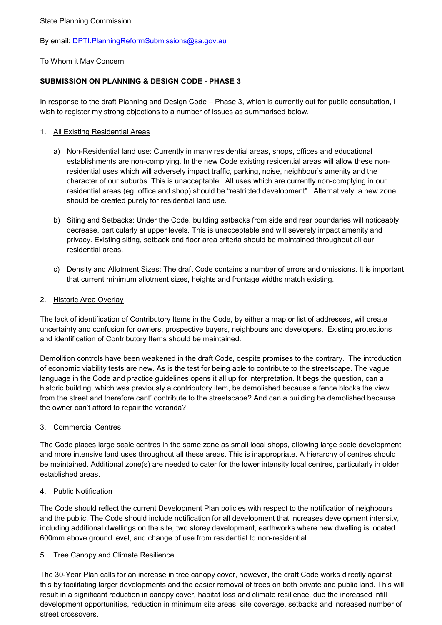By email: [DPTI.PlanningReformSubmissions@sa.gov.au](mailto:DPTI.PlanningReformSubmissions@sa.gov.au)

To Whom it May Concern

# **SUBMISSION ON PLANNING & DESIGN CODE - PHASE 3**

In response to the draft Planning and Design Code – Phase 3, which is currently out for public consultation, I wish to register my strong objections to a number of issues as summarised below.

## 1. All Existing Residential Areas

- a) Non-Residential land use: Currently in many residential areas, shops, offices and educational establishments are non-complying. In the new Code existing residential areas will allow these nonresidential uses which will adversely impact traffic, parking, noise, neighbour's amenity and the character of our suburbs. This is unacceptable. All uses which are currently non-complying in our residential areas (eg. office and shop) should be "restricted development". Alternatively, a new zone should be created purely for residential land use.
- b) Siting and Setbacks: Under the Code, building setbacks from side and rear boundaries will noticeably decrease, particularly at upper levels. This is unacceptable and will severely impact amenity and privacy. Existing siting, setback and floor area criteria should be maintained throughout all our residential areas.
- c) Density and Allotment Sizes: The draft Code contains a number of errors and omissions. It is important that current minimum allotment sizes, heights and frontage widths match existing.

# 2. Historic Area Overlay

The lack of identification of Contributory Items in the Code, by either a map or list of addresses, will create uncertainty and confusion for owners, prospective buyers, neighbours and developers. Existing protections and identification of Contributory Items should be maintained.

Demolition controls have been weakened in the draft Code, despite promises to the contrary. The introduction of economic viability tests are new. As is the test for being able to contribute to the streetscape. The vague language in the Code and practice guidelines opens it all up for interpretation. It begs the question, can a historic building, which was previously a contributory item, be demolished because a fence blocks the view from the street and therefore cant' contribute to the streetscape? And can a building be demolished because the owner can't afford to repair the veranda?

### 3. Commercial Centres

The Code places large scale centres in the same zone as small local shops, allowing large scale development and more intensive land uses throughout all these areas. This is inappropriate. A hierarchy of centres should be maintained. Additional zone(s) are needed to cater for the lower intensity local centres, particularly in older established areas.

### 4. Public Notification

The Code should reflect the current Development Plan policies with respect to the notification of neighbours and the public. The Code should include notification for all development that increases development intensity, including additional dwellings on the site, two storey development, earthworks where new dwelling is located 600mm above ground level, and change of use from residential to non-residential.

### 5. Tree Canopy and Climate Resilience

The 30-Year Plan calls for an increase in tree canopy cover, however, the draft Code works directly against this by facilitating larger developments and the easier removal of trees on both private and public land. This will result in a significant reduction in canopy cover, habitat loss and climate resilience, due the increased infill development opportunities, reduction in minimum site areas, site coverage, setbacks and increased number of street crossovers.